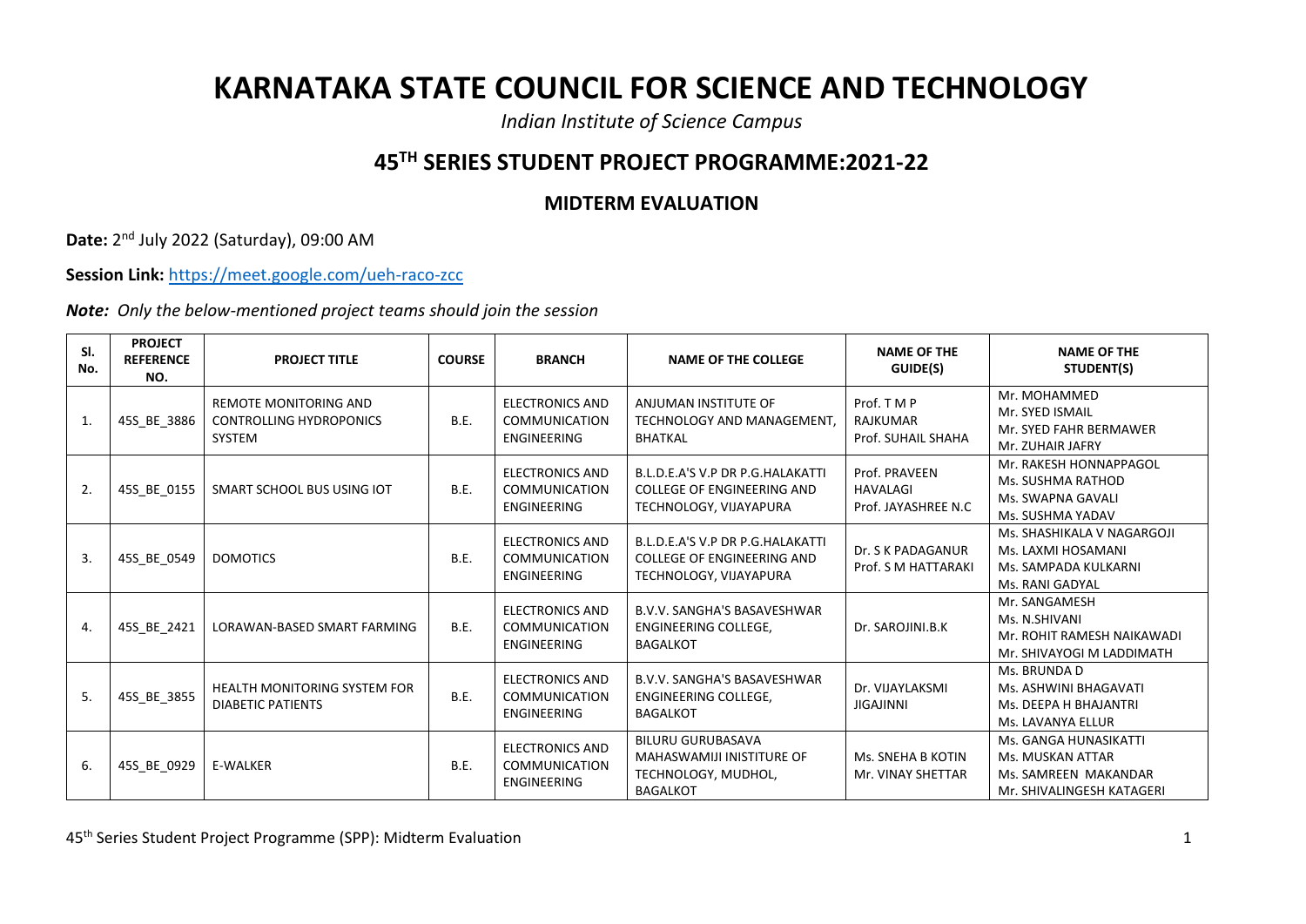## **KARNATAKA STATE COUNCIL FOR SCIENCE AND TECHNOLOGY**

*Indian Institute of Science Campus*

## **45TH SERIES STUDENT PROJECT PROGRAMME:2021-22**

## **MIDTERM EVALUATION**

**Date:** 2 nd July 2022 (Saturday), 09:00 AM

**Session Link:** <https://meet.google.com/ueh-raco-zcc>

*Note: Only the below-mentioned project teams should join the session*

| SI.<br>No. | <b>PROJECT</b><br><b>REFERENCE</b><br>NO. | <b>PROJECT TITLE</b>                                                     | <b>COURSE</b> | <b>BRANCH</b>                                                        | <b>NAME OF THE COLLEGE</b>                                                                             | <b>NAME OF THE</b><br>GUIDE(S)                           | <b>NAME OF THE</b><br>STUDENT(S)                                                               |
|------------|-------------------------------------------|--------------------------------------------------------------------------|---------------|----------------------------------------------------------------------|--------------------------------------------------------------------------------------------------------|----------------------------------------------------------|------------------------------------------------------------------------------------------------|
| 1.         | 45S_BE_3886                               | <b>REMOTE MONITORING AND</b><br><b>CONTROLLING HYDROPONICS</b><br>SYSTEM | <b>B.E.</b>   | <b>ELECTRONICS AND</b><br><b>COMMUNICATION</b><br><b>ENGINEERING</b> | ANJUMAN INSTITUTE OF<br>TECHNOLOGY AND MANAGEMENT,<br><b>BHATKAL</b>                                   | Prof. T M P<br><b>RAJKUMAR</b><br>Prof. SUHAIL SHAHA     | Mr. MOHAMMED<br>Mr. SYED ISMAIL<br>Mr. SYED FAHR BERMAWER<br>Mr. ZUHAIR JAFRY                  |
| 2.         | 45S BE 0155                               | SMART SCHOOL BUS USING IOT                                               | B.E.          | <b>ELECTRONICS AND</b><br><b>COMMUNICATION</b><br><b>ENGINEERING</b> | B.L.D.E.A'S V.P DR P.G.HALAKATTI<br><b>COLLEGE OF ENGINEERING AND</b><br>TECHNOLOGY, VIJAYAPURA        | Prof. PRAVEEN<br><b>HAVALAGI</b><br>Prof. JAYASHREE N.C. | Mr. RAKESH HONNAPPAGOL<br>Ms. SUSHMA RATHOD<br>Ms. SWAPNA GAVALI<br>Ms. SUSHMA YADAV           |
| 3.         | 45S BE 0549                               | <b>DOMOTICS</b>                                                          | <b>B.E.</b>   | <b>ELECTRONICS AND</b><br><b>COMMUNICATION</b><br><b>ENGINEERING</b> | B.L.D.E.A'S V.P DR P.G.HALAKATTI<br><b>COLLEGE OF ENGINEERING AND</b><br>TECHNOLOGY, VIJAYAPURA        | Dr. S K PADAGANUR<br>Prof. S M HATTARAKI                 | Ms. SHASHIKALA V NAGARGOJI<br>Ms. LAXMI HOSAMANI<br>Ms. SAMPADA KULKARNI<br>Ms. RANI GADYAL    |
| 4.         | 45S_BE_2421                               | LORAWAN-BASED SMART FARMING                                              | <b>B.E.</b>   | <b>ELECTRONICS AND</b><br><b>COMMUNICATION</b><br><b>ENGINEERING</b> | <b>B.V.V. SANGHA'S BASAVESHWAR</b><br>ENGINEERING COLLEGE,<br><b>BAGALKOT</b>                          | Dr. SAROJINI.B.K                                         | Mr. SANGAMESH<br>Ms. N.SHIVANI<br>Mr. ROHIT RAMESH NAIKAWADI<br>Mr. SHIVAYOGI M LADDIMATH      |
| 5.         | 45S_BE_3855                               | <b>HEALTH MONITORING SYSTEM FOR</b><br>DIABETIC PATIENTS                 | <b>B.E.</b>   | <b>ELECTRONICS AND</b><br><b>COMMUNICATION</b><br><b>ENGINEERING</b> | <b>B.V.V. SANGHA'S BASAVESHWAR</b><br>ENGINEERING COLLEGE,<br><b>BAGALKOT</b>                          | Dr. VIJAYLAKSMI<br><b>JIGAJINNI</b>                      | Ms. BRUNDA D<br>Ms. ASHWINI BHAGAVATI<br>Ms. DEEPA H BHAJANTRI<br>Ms. LAVANYA ELLUR            |
| 6.         | 45S_BE_0929                               | <b>E-WALKER</b>                                                          | <b>B.E.</b>   | <b>ELECTRONICS AND</b><br><b>COMMUNICATION</b><br><b>ENGINEERING</b> | <b>BILURU GURUBASAVA</b><br><b>MAHASWAMIJI INISTITURE OF</b><br>TECHNOLOGY, MUDHOL,<br><b>BAGALKOT</b> | Ms. SNEHA B KOTIN<br>Mr. VINAY SHETTAR                   | Ms. GANGA HUNASIKATTI<br>Ms. MUSKAN ATTAR<br>Ms. SAMREEN MAKANDAR<br>Mr. SHIVALINGESH KATAGERI |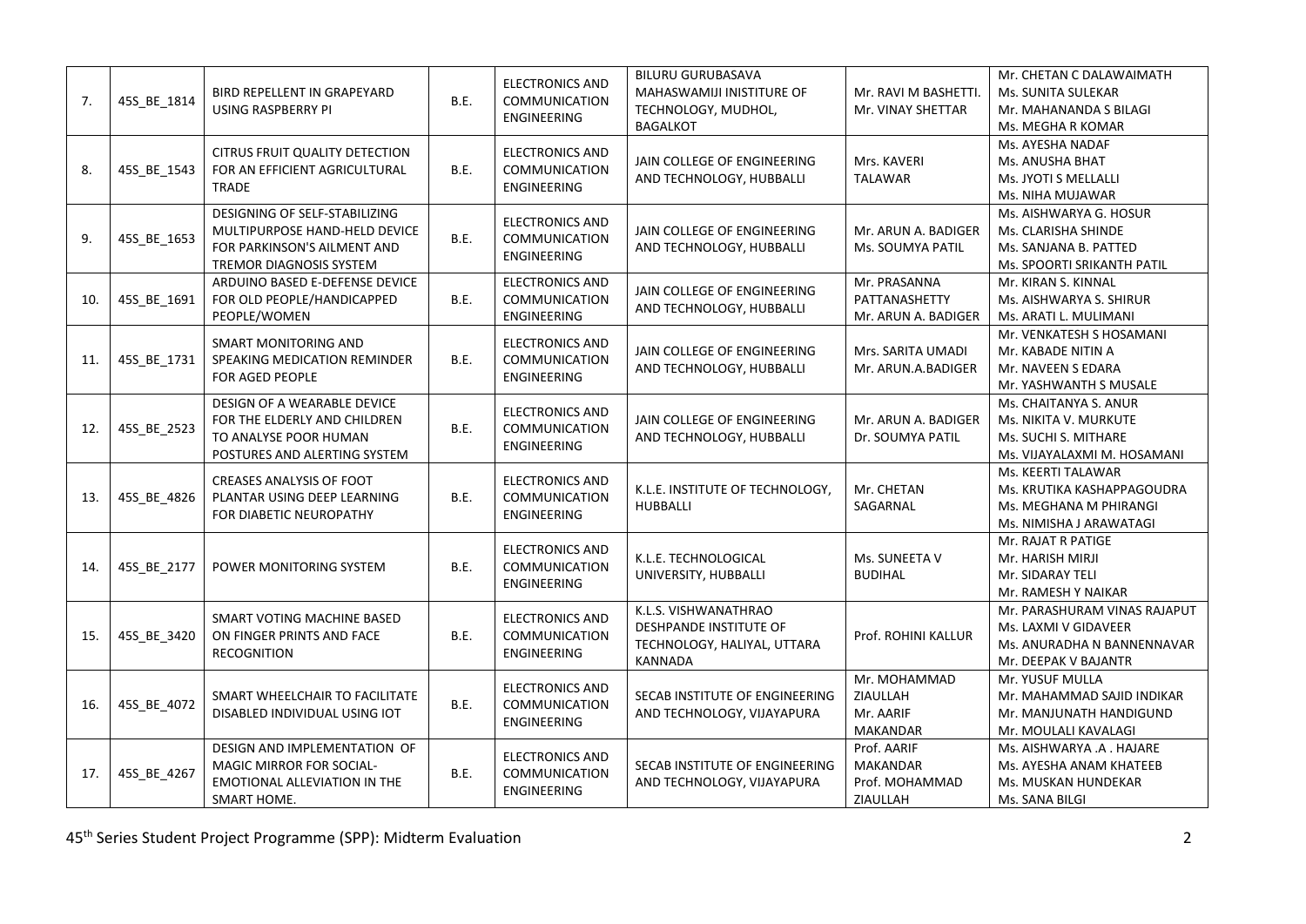| 7.  | 45S_BE_1814 | BIRD REPELLENT IN GRAPEYARD<br><b>USING RASPBERRY PI</b>                                                                 | B.E. | <b>ELECTRONICS AND</b><br>COMMUNICATION<br><b>ENGINEERING</b>        | <b>BILURU GURUBASAVA</b><br><b>MAHASWAMIJI INISTITURE OF</b><br>TECHNOLOGY, MUDHOL,<br><b>BAGALKOT</b> | Mr. RAVI M BASHETTI.<br>Mr. VINAY SHETTAR                    | Mr. CHETAN C DALAWAIMATH<br>Ms. SUNITA SULEKAR<br>Mr. MAHANANDA S BILAGI<br>Ms. MEGHA R KOMAR              |
|-----|-------------|--------------------------------------------------------------------------------------------------------------------------|------|----------------------------------------------------------------------|--------------------------------------------------------------------------------------------------------|--------------------------------------------------------------|------------------------------------------------------------------------------------------------------------|
| 8.  | 45S BE 1543 | CITRUS FRUIT QUALITY DETECTION<br>FOR AN EFFICIENT AGRICULTURAL<br><b>TRADE</b>                                          | B.E. | <b>ELECTRONICS AND</b><br>COMMUNICATION<br><b>ENGINEERING</b>        | JAIN COLLEGE OF ENGINEERING<br>AND TECHNOLOGY, HUBBALLI                                                | Mrs. KAVERI<br><b>TALAWAR</b>                                | Ms. AYESHA NADAF<br>Ms. ANUSHA BHAT<br>Ms. JYOTI S MELLALLI<br>Ms. NIHA MUJAWAR                            |
| 9.  | 45S_BE_1653 | DESIGNING OF SELF-STABILIZING<br>MULTIPURPOSE HAND-HELD DEVICE<br>FOR PARKINSON'S AILMENT AND<br>TREMOR DIAGNOSIS SYSTEM | B.E. | <b>ELECTRONICS AND</b><br>COMMUNICATION<br><b>ENGINEERING</b>        | JAIN COLLEGE OF ENGINEERING<br>AND TECHNOLOGY, HUBBALLI                                                | Mr. ARUN A. BADIGER<br>Ms. SOUMYA PATIL                      | Ms. AISHWARYA G. HOSUR<br>Ms. CLARISHA SHINDE<br>Ms. SANJANA B. PATTED<br>Ms. SPOORTI SRIKANTH PATIL       |
| 10. | 45S BE 1691 | ARDUINO BASED E-DEFENSE DEVICE<br>FOR OLD PEOPLE/HANDICAPPED<br>PEOPLE/WOMEN                                             | B.E. | <b>ELECTRONICS AND</b><br>COMMUNICATION<br><b>ENGINEERING</b>        | JAIN COLLEGE OF ENGINEERING<br>AND TECHNOLOGY, HUBBALLI                                                | Mr. PRASANNA<br>PATTANASHETTY<br>Mr. ARUN A. BADIGER         | Mr. KIRAN S. KINNAL<br>Ms. AISHWARYA S. SHIRUR<br>Ms. ARATI L. MULIMANI                                    |
| 11. | 45S_BE_1731 | <b>SMART MONITORING AND</b><br>SPEAKING MEDICATION REMINDER<br>FOR AGED PEOPLE                                           | B.E. | <b>ELECTRONICS AND</b><br><b>COMMUNICATION</b><br><b>ENGINEERING</b> | JAIN COLLEGE OF ENGINEERING<br>AND TECHNOLOGY, HUBBALLI                                                | Mrs. SARITA UMADI<br>Mr. ARUN.A.BADIGER                      | Mr. VENKATESH S HOSAMANI<br>Mr. KABADE NITIN A<br>Mr. NAVEEN S EDARA<br>Mr. YASHWANTH S MUSALE             |
| 12. | 45S_BE_2523 | DESIGN OF A WEARABLE DEVICE<br>FOR THE ELDERLY AND CHILDREN<br>TO ANALYSE POOR HUMAN<br>POSTURES AND ALERTING SYSTEM     | B.E. | <b>ELECTRONICS AND</b><br>COMMUNICATION<br><b>ENGINEERING</b>        | JAIN COLLEGE OF ENGINEERING<br>AND TECHNOLOGY, HUBBALLI                                                | Mr. ARUN A. BADIGER<br>Dr. SOUMYA PATIL                      | Ms. CHAITANYA S. ANUR<br>Ms. NIKITA V. MURKUTE<br>Ms. SUCHI S. MITHARE<br>Ms. VIJAYALAXMI M. HOSAMANI      |
| 13. | 45S_BE_4826 | CREASES ANALYSIS OF FOOT<br>PLANTAR USING DEEP LEARNING<br>FOR DIABETIC NEUROPATHY                                       | B.E. | <b>ELECTRONICS AND</b><br><b>COMMUNICATION</b><br><b>ENGINEERING</b> | K.L.E. INSTITUTE OF TECHNOLOGY,<br><b>HUBBALLI</b>                                                     | Mr. CHETAN<br>SAGARNAL                                       | Ms. KEERTI TALAWAR<br>Ms. KRUTIKA KASHAPPAGOUDRA<br>Ms. MEGHANA M PHIRANGI<br>Ms. NIMISHA J ARAWATAGI      |
| 14. | 45S BE 2177 | POWER MONITORING SYSTEM                                                                                                  | B.E. | <b>ELECTRONICS AND</b><br>COMMUNICATION<br><b>ENGINEERING</b>        | K.L.E. TECHNOLOGICAL<br>UNIVERSITY, HUBBALLI                                                           | Ms. SUNEETA V<br><b>BUDIHAL</b>                              | Mr. RAJAT R PATIGE<br>Mr. HARISH MIRJI<br>Mr. SIDARAY TELI<br>Mr. RAMESH Y NAIKAR                          |
| 15. | 45S BE 3420 | SMART VOTING MACHINE BASED<br>ON FINGER PRINTS AND FACE<br><b>RECOGNITION</b>                                            | B.E. | <b>ELECTRONICS AND</b><br><b>COMMUNICATION</b><br>ENGINEERING        | K.L.S. VISHWANATHRAO<br>DESHPANDE INSTITUTE OF<br>TECHNOLOGY, HALIYAL, UTTARA<br>KANNADA               | Prof. ROHINI KALLUR                                          | Mr. PARASHURAM VINAS RAJAPUT<br>Ms. LAXMI V GIDAVEER<br>Ms. ANURADHA N BANNENNAVAR<br>Mr. DEEPAK V BAJANTR |
| 16. | 45S_BE_4072 | SMART WHEELCHAIR TO FACILITATE<br>DISABLED INDIVIDUAL USING IOT                                                          | B.E. | <b>ELECTRONICS AND</b><br>COMMUNICATION<br>ENGINEERING               | SECAB INSTITUTE OF ENGINEERING<br>AND TECHNOLOGY, VIJAYAPURA                                           | Mr. MOHAMMAD<br>ZIAULLAH<br>Mr. AARIF<br>MAKANDAR            | Mr. YUSUF MULLA<br>Mr. MAHAMMAD SAJID INDIKAR<br>Mr. MANJUNATH HANDIGUND<br>Mr. MOULALI KAVALAGI           |
| 17. | 45S_BE_4267 | DESIGN AND IMPLEMENTATION OF<br><b>MAGIC MIRROR FOR SOCIAL-</b><br>EMOTIONAL ALLEVIATION IN THE<br>SMART HOME.           | B.E. | <b>ELECTRONICS AND</b><br>COMMUNICATION<br>ENGINEERING               | SECAB INSTITUTE OF ENGINEERING<br>AND TECHNOLOGY, VIJAYAPURA                                           | Prof. AARIF<br><b>MAKANDAR</b><br>Prof. MOHAMMAD<br>ZIAULLAH | Ms. AISHWARYA .A . HAJARE<br>Ms. AYESHA ANAM KHATEEB<br>Ms. MUSKAN HUNDEKAR<br>Ms. SANA BILGI              |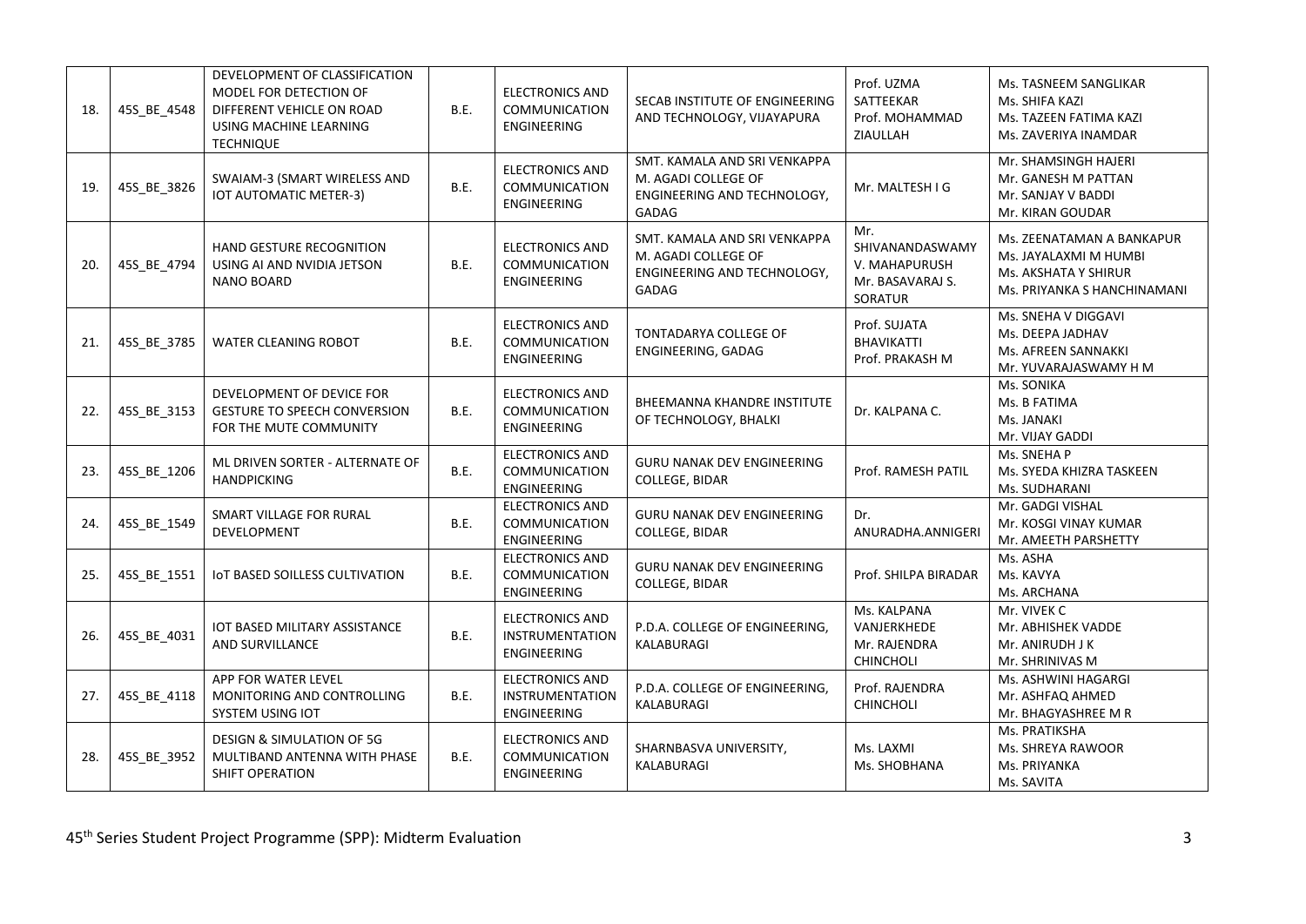| 18. | 45S_BE_4548 | DEVELOPMENT OF CLASSIFICATION<br>MODEL FOR DETECTION OF<br>DIFFERENT VEHICLE ON ROAD<br>USING MACHINE LEARNING<br><b>TECHNIQUE</b> | B.E. | <b>ELECTRONICS AND</b><br>COMMUNICATION<br><b>ENGINEERING</b>          | SECAB INSTITUTE OF ENGINEERING<br>AND TECHNOLOGY, VIJAYAPURA                                | Prof. UZMA<br>SATTEEKAR<br>Prof. MOHAMMAD<br>ZIAULLAH                  | Ms. TASNEEM SANGLIKAR<br>Ms. SHIFA KAZI<br>Ms. TAZEEN FATIMA KAZI<br>Ms. ZAVERIYA INAMDAR                 |
|-----|-------------|------------------------------------------------------------------------------------------------------------------------------------|------|------------------------------------------------------------------------|---------------------------------------------------------------------------------------------|------------------------------------------------------------------------|-----------------------------------------------------------------------------------------------------------|
| 19. | 45S_BE_3826 | SWAIAM-3 (SMART WIRELESS AND<br><b>IOT AUTOMATIC METER-3)</b>                                                                      | B.E. | <b>ELECTRONICS AND</b><br>COMMUNICATION<br><b>ENGINEERING</b>          | SMT. KAMALA AND SRI VENKAPPA<br>M. AGADI COLLEGE OF<br>ENGINEERING AND TECHNOLOGY,<br>GADAG | Mr. MALTESH I G                                                        | Mr. SHAMSINGH HAJERI<br>Mr. GANESH M PATTAN<br>Mr. SANJAY V BADDI<br>Mr. KIRAN GOUDAR                     |
| 20. | 45S_BE_4794 | HAND GESTURE RECOGNITION<br>USING AI AND NVIDIA JETSON<br><b>NANO BOARD</b>                                                        | B.E. | <b>ELECTRONICS AND</b><br>COMMUNICATION<br><b>ENGINEERING</b>          | SMT. KAMALA AND SRI VENKAPPA<br>M. AGADI COLLEGE OF<br>ENGINEERING AND TECHNOLOGY,<br>GADAG | Mr.<br>SHIVANANDASWAMY<br>V. MAHAPURUSH<br>Mr. BASAVARAJ S.<br>SORATUR | Ms. ZEENATAMAN A BANKAPUR<br>Ms. JAYALAXMI M HUMBI<br>Ms. AKSHATA Y SHIRUR<br>Ms. PRIYANKA S HANCHINAMANI |
| 21. | 45S BE 3785 | <b>WATER CLEANING ROBOT</b>                                                                                                        | B.E. | <b>ELECTRONICS AND</b><br><b>COMMUNICATION</b><br><b>ENGINEERING</b>   | TONTADARYA COLLEGE OF<br>ENGINEERING, GADAG                                                 | Prof. SUJATA<br><b>BHAVIKATTI</b><br>Prof. PRAKASH M                   | Ms. SNEHA V DIGGAVI<br>Ms. DEEPA JADHAV<br>Ms. AFREEN SANNAKKI<br>Mr. YUVARAJASWAMY H M                   |
| 22. | 45S_BE_3153 | DEVELOPMENT OF DEVICE FOR<br><b>GESTURE TO SPEECH CONVERSION</b><br>FOR THE MUTE COMMUNITY                                         | B.E. | <b>ELECTRONICS AND</b><br><b>COMMUNICATION</b><br><b>ENGINEERING</b>   | BHEEMANNA KHANDRE INSTITUTE<br>OF TECHNOLOGY, BHALKI                                        | Dr. KALPANA C.                                                         | Ms. SONIKA<br>Ms. B FATIMA<br>Ms. JANAKI<br>Mr. VIJAY GADDI                                               |
| 23. | 45S_BE_1206 | ML DRIVEN SORTER - ALTERNATE OF<br><b>HANDPICKING</b>                                                                              | B.E. | <b>ELECTRONICS AND</b><br><b>COMMUNICATION</b><br>ENGINEERING          | <b>GURU NANAK DEV ENGINEERING</b><br>COLLEGE, BIDAR                                         | Prof. RAMESH PATIL                                                     | Ms. SNEHA P<br>Ms. SYEDA KHIZRA TASKEEN<br>Ms. SUDHARANI                                                  |
| 24. | 45S_BE_1549 | SMART VILLAGE FOR RURAL<br>DEVELOPMENT                                                                                             | B.E. | <b>ELECTRONICS AND</b><br>COMMUNICATION<br><b>ENGINEERING</b>          | <b>GURU NANAK DEV ENGINEERING</b><br>COLLEGE, BIDAR                                         | Dr.<br>ANURADHA.ANNIGERI                                               | Mr. GADGI VISHAL<br>Mr. KOSGI VINAY KUMAR<br>Mr. AMEETH PARSHETTY                                         |
| 25. | 45S_BE_1551 | IOT BASED SOILLESS CULTIVATION                                                                                                     | B.E. | <b>ELECTRONICS AND</b><br>COMMUNICATION<br>ENGINEERING                 | <b>GURU NANAK DEV ENGINEERING</b><br><b>COLLEGE, BIDAR</b>                                  | Prof. SHILPA BIRADAR                                                   | Ms. ASHA<br>Ms. KAVYA<br>Ms. ARCHANA                                                                      |
| 26. | 45S_BE_4031 | IOT BASED MILITARY ASSISTANCE<br>AND SURVILLANCE                                                                                   | B.E. | <b>ELECTRONICS AND</b><br><b>INSTRUMENTATION</b><br><b>ENGINEERING</b> | P.D.A. COLLEGE OF ENGINEERING,<br>KALABURAGI                                                | Ms. KALPANA<br>VANJERKHEDE<br>Mr. RAJENDRA<br>CHINCHOLI                | Mr. VIVEK C<br>Mr. ABHISHEK VADDE<br>Mr. ANIRUDH J K<br>Mr. SHRINIVAS M                                   |
| 27. | 45S_BE_4118 | APP FOR WATER LEVEL<br>MONITORING AND CONTROLLING<br><b>SYSTEM USING IOT</b>                                                       | B.E. | <b>ELECTRONICS AND</b><br><b>INSTRUMENTATION</b><br><b>ENGINEERING</b> | P.D.A. COLLEGE OF ENGINEERING,<br>KALABURAGI                                                | Prof. RAJENDRA<br>CHINCHOLI                                            | Ms. ASHWINI HAGARGI<br>Mr. ASHFAQ AHMED<br>Mr. BHAGYASHREE M R                                            |
| 28. | 45S_BE_3952 | DESIGN & SIMULATION OF 5G<br>MULTIBAND ANTENNA WITH PHASE<br>SHIFT OPERATION                                                       | B.E. | <b>ELECTRONICS AND</b><br><b>COMMUNICATION</b><br>ENGINEERING          | SHARNBASVA UNIVERSITY,<br>KALABURAGI                                                        | Ms. LAXMI<br>Ms. SHOBHANA                                              | Ms. PRATIKSHA<br>Ms. SHREYA RAWOOR<br>Ms. PRIYANKA<br>Ms. SAVITA                                          |